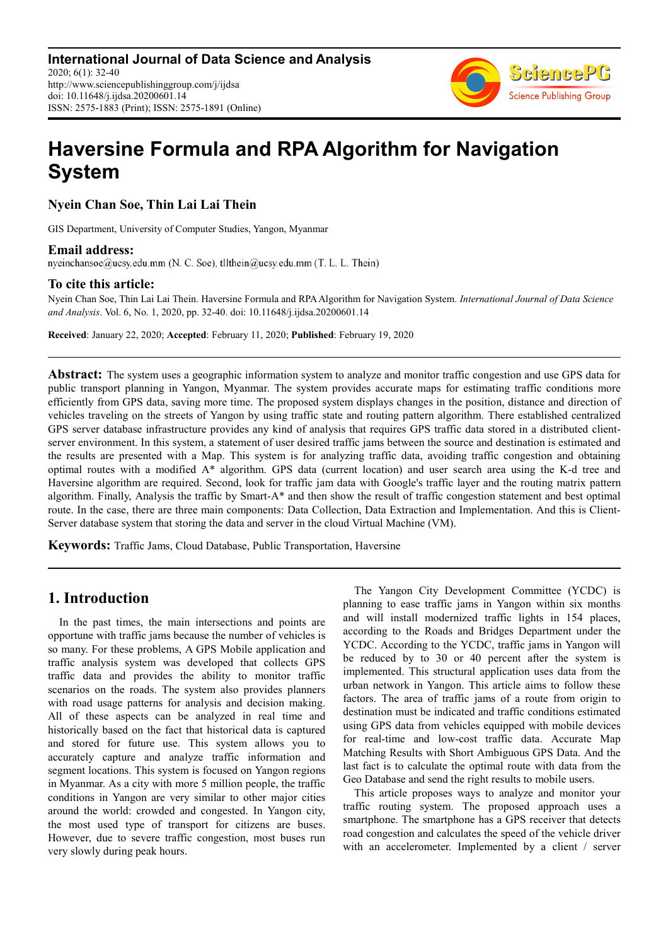

# **Haversine Formula and RPA Algorithm for Navigation System**

**Nyein Chan Soe, Thin Lai Lai Thein** 

GIS Department, University of Computer Studies, Yangon, Myanmar

**Email address:**<br>nyeinchansoe@ucsy.edu.mm (N. C. Soe), tllthein@ucsy.edu.mm (T. L. L. Thein)

# **To cite this article:**

Nyein Chan Soe, Thin Lai Lai Thein. Haversine Formula and RPA Algorithm for Navigation System. *International Journal of Data Science and Analysis*. Vol. 6, No. 1, 2020, pp. 32-40. doi: 10.11648/j.ijdsa.20200601.14

**Received**: January 22, 2020; **Accepted**: February 11, 2020; **Published**: February 19, 2020

**Abstract:** The system uses a geographic information system to analyze and monitor traffic congestion and use GPS data for public transport planning in Yangon, Myanmar. The system provides accurate maps for estimating traffic conditions more efficiently from GPS data, saving more time. The proposed system displays changes in the position, distance and direction of vehicles traveling on the streets of Yangon by using traffic state and routing pattern algorithm. There established centralized GPS server database infrastructure provides any kind of analysis that requires GPS traffic data stored in a distributed clientserver environment. In this system, a statement of user desired traffic jams between the source and destination is estimated and the results are presented with a Map. This system is for analyzing traffic data, avoiding traffic congestion and obtaining optimal routes with a modified A\* algorithm. GPS data (current location) and user search area using the K-d tree and Haversine algorithm are required. Second, look for traffic jam data with Google's traffic layer and the routing matrix pattern algorithm. Finally, Analysis the traffic by Smart-A\* and then show the result of traffic congestion statement and best optimal route. In the case, there are three main components: Data Collection, Data Extraction and Implementation. And this is Client-Server database system that storing the data and server in the cloud Virtual Machine (VM).

**Keywords:** Traffic Jams, Cloud Database, Public Transportation, Haversine

# **1. Introduction**

In the past times, the main intersections and points are opportune with traffic jams because the number of vehicles is so many. For these problems, A GPS Mobile application and traffic analysis system was developed that collects GPS traffic data and provides the ability to monitor traffic scenarios on the roads. The system also provides planners with road usage patterns for analysis and decision making. All of these aspects can be analyzed in real time and historically based on the fact that historical data is captured and stored for future use. This system allows you to accurately capture and analyze traffic information and segment locations. This system is focused on Yangon regions in Myanmar. As a city with more 5 million people, the traffic conditions in Yangon are very similar to other major cities around the world: crowded and congested. In Yangon city, the most used type of transport for citizens are buses. However, due to severe traffic congestion, most buses run very slowly during peak hours.

The Yangon City Development Committee (YCDC) is planning to ease traffic jams in Yangon within six months and will install modernized traffic lights in 154 places, according to the Roads and Bridges Department under the YCDC. According to the YCDC, traffic jams in Yangon will be reduced by to 30 or 40 percent after the system is implemented. This structural application uses data from the urban network in Yangon. This article aims to follow these factors. The area of traffic jams of a route from origin to destination must be indicated and traffic conditions estimated using GPS data from vehicles equipped with mobile devices for real-time and low-cost traffic data. Accurate Map Matching Results with Short Ambiguous GPS Data. And the last fact is to calculate the optimal route with data from the Geo Database and send the right results to mobile users.

This article proposes ways to analyze and monitor your traffic routing system. The proposed approach uses a smartphone. The smartphone has a GPS receiver that detects road congestion and calculates the speed of the vehicle driver with an accelerometer. Implemented by a client / server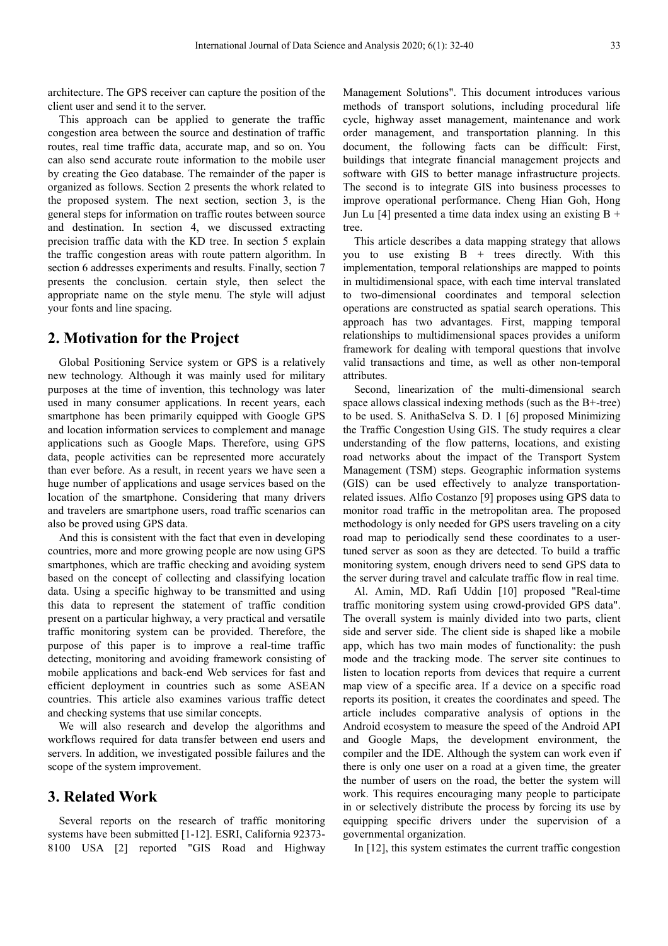architecture. The GPS receiver can capture the position of the client user and send it to the server.

This approach can be applied to generate the traffic congestion area between the source and destination of traffic routes, real time traffic data, accurate map, and so on. You can also send accurate route information to the mobile user by creating the Geo database. The remainder of the paper is organized as follows. Section 2 presents the whork related to the proposed system. The next section, section 3, is the general steps for information on traffic routes between source and destination. In section 4, we discussed extracting precision traffic data with the KD tree. In section 5 explain the traffic congestion areas with route pattern algorithm. In section 6 addresses experiments and results. Finally, section 7 presents the conclusion. certain style, then select the appropriate name on the style menu. The style will adjust your fonts and line spacing.

# **2. Motivation for the Project**

Global Positioning Service system or GPS is a relatively new technology. Although it was mainly used for military purposes at the time of invention, this technology was later used in many consumer applications. In recent years, each smartphone has been primarily equipped with Google GPS and location information services to complement and manage applications such as Google Maps. Therefore, using GPS data, people activities can be represented more accurately than ever before. As a result, in recent years we have seen a huge number of applications and usage services based on the location of the smartphone. Considering that many drivers and travelers are smartphone users, road traffic scenarios can also be proved using GPS data.

And this is consistent with the fact that even in developing countries, more and more growing people are now using GPS smartphones, which are traffic checking and avoiding system based on the concept of collecting and classifying location data. Using a specific highway to be transmitted and using this data to represent the statement of traffic condition present on a particular highway, a very practical and versatile traffic monitoring system can be provided. Therefore, the purpose of this paper is to improve a real-time traffic detecting, monitoring and avoiding framework consisting of mobile applications and back-end Web services for fast and efficient deployment in countries such as some ASEAN countries. This article also examines various traffic detect and checking systems that use similar concepts.

We will also research and develop the algorithms and workflows required for data transfer between end users and servers. In addition, we investigated possible failures and the scope of the system improvement.

### **3. Related Work**

Several reports on the research of traffic monitoring systems have been submitted [1-12]. ESRI, California 92373- 8100 USA [2] reported "GIS Road and Highway Management Solutions". This document introduces various methods of transport solutions, including procedural life cycle, highway asset management, maintenance and work order management, and transportation planning. In this document, the following facts can be difficult: First, buildings that integrate financial management projects and software with GIS to better manage infrastructure projects. The second is to integrate GIS into business processes to improve operational performance. Cheng Hian Goh, Hong Jun Lu [4] presented a time data index using an existing  $B +$ tree.

This article describes a data mapping strategy that allows you to use existing  $B +$  trees directly. With this implementation, temporal relationships are mapped to points in multidimensional space, with each time interval translated to two-dimensional coordinates and temporal selection operations are constructed as spatial search operations. This approach has two advantages. First, mapping temporal relationships to multidimensional spaces provides a uniform framework for dealing with temporal questions that involve valid transactions and time, as well as other non-temporal attributes.

Second, linearization of the multi-dimensional search space allows classical indexing methods (such as the B+-tree) to be used. S. AnithaSelva S. D. 1 [6] proposed Minimizing the Traffic Congestion Using GIS. The study requires a clear understanding of the flow patterns, locations, and existing road networks about the impact of the Transport System Management (TSM) steps. Geographic information systems (GIS) can be used effectively to analyze transportationrelated issues. Alfio Costanzo [9] proposes using GPS data to monitor road traffic in the metropolitan area. The proposed methodology is only needed for GPS users traveling on a city road map to periodically send these coordinates to a usertuned server as soon as they are detected. To build a traffic monitoring system, enough drivers need to send GPS data to the server during travel and calculate traffic flow in real time.

Al. Amin, MD. Rafi Uddin [10] proposed "Real-time traffic monitoring system using crowd-provided GPS data". The overall system is mainly divided into two parts, client side and server side. The client side is shaped like a mobile app, which has two main modes of functionality: the push mode and the tracking mode. The server site continues to listen to location reports from devices that require a current map view of a specific area. If a device on a specific road reports its position, it creates the coordinates and speed. The article includes comparative analysis of options in the Android ecosystem to measure the speed of the Android API and Google Maps, the development environment, the compiler and the IDE. Although the system can work even if there is only one user on a road at a given time, the greater the number of users on the road, the better the system will work. This requires encouraging many people to participate in or selectively distribute the process by forcing its use by equipping specific drivers under the supervision of a governmental organization.

In [12], this system estimates the current traffic congestion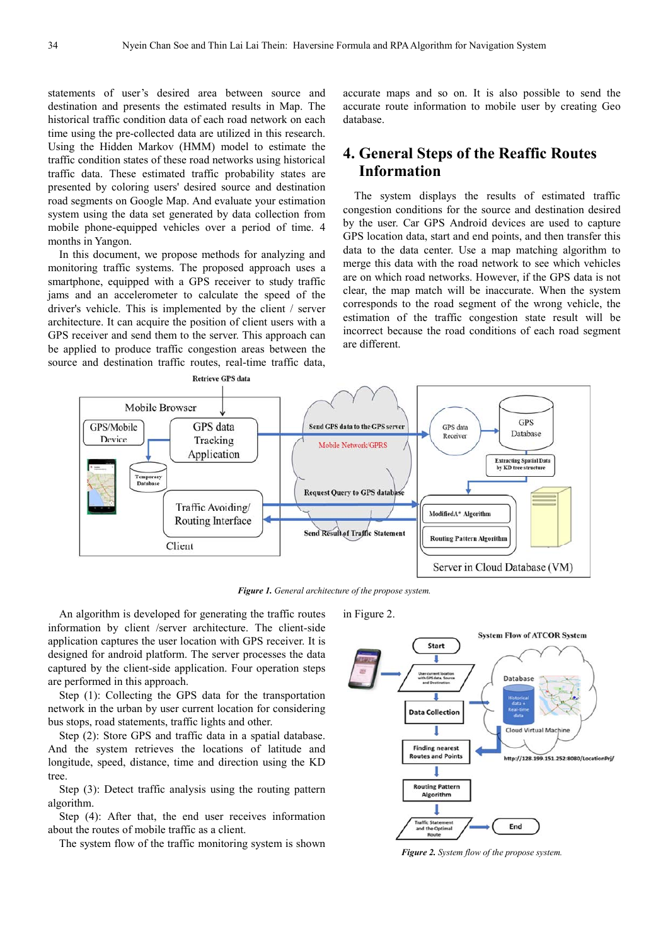statements of user's desired area between source and destination and presents the estimated results in Map. The historical traffic condition data of each road network on each time using the pre-collected data are utilized in this research. Using the Hidden Markov (HMM) model to estimate the traffic condition states of these road networks using historical traffic data. These estimated traffic probability states are presented by coloring users' desired source and destination road segments on Google Map. And evaluate your estimation system using the data set generated by data collection from mobile phone-equipped vehicles over a period of time. 4 months in Yangon.

In this document, we propose methods for analyzing and monitoring traffic systems. The proposed approach uses a smartphone, equipped with a GPS receiver to study traffic jams and an accelerometer to calculate the speed of the driver's vehicle. This is implemented by the client / server architecture. It can acquire the position of client users with a GPS receiver and send them to the server. This approach can be applied to produce traffic congestion areas between the source and destination traffic routes, real-time traffic data,

accurate maps and so on. It is also possible to send the accurate route information to mobile user by creating Geo database.

# **4. General Steps of the Reaffic Routes Information**

The system displays the results of estimated traffic congestion conditions for the source and destination desired by the user. Car GPS Android devices are used to capture GPS location data, start and end points, and then transfer this data to the data center. Use a map matching algorithm to merge this data with the road network to see which vehicles are on which road networks. However, if the GPS data is not clear, the map match will be inaccurate. When the system corresponds to the road segment of the wrong vehicle, the estimation of the traffic congestion state result will be incorrect because the road conditions of each road segment are different.



*Figure 1. General architecture of the propose system.* 

An algorithm is developed for generating the traffic routes information by client /server architecture. The client-side application captures the user location with GPS receiver. It is designed for android platform. The server processes the data captured by the client-side application. Four operation steps are performed in this approach.

Step (1): Collecting the GPS data for the transportation network in the urban by user current location for considering bus stops, road statements, traffic lights and other.

Step (2): Store GPS and traffic data in a spatial database. And the system retrieves the locations of latitude and longitude, speed, distance, time and direction using the KD tree.

Step (3): Detect traffic analysis using the routing pattern algorithm.

Step (4): After that, the end user receives information about the routes of mobile traffic as a client.

The system flow of the traffic monitoring system is shown

in Figure 2.



*Figure 2. System flow of the propose system.*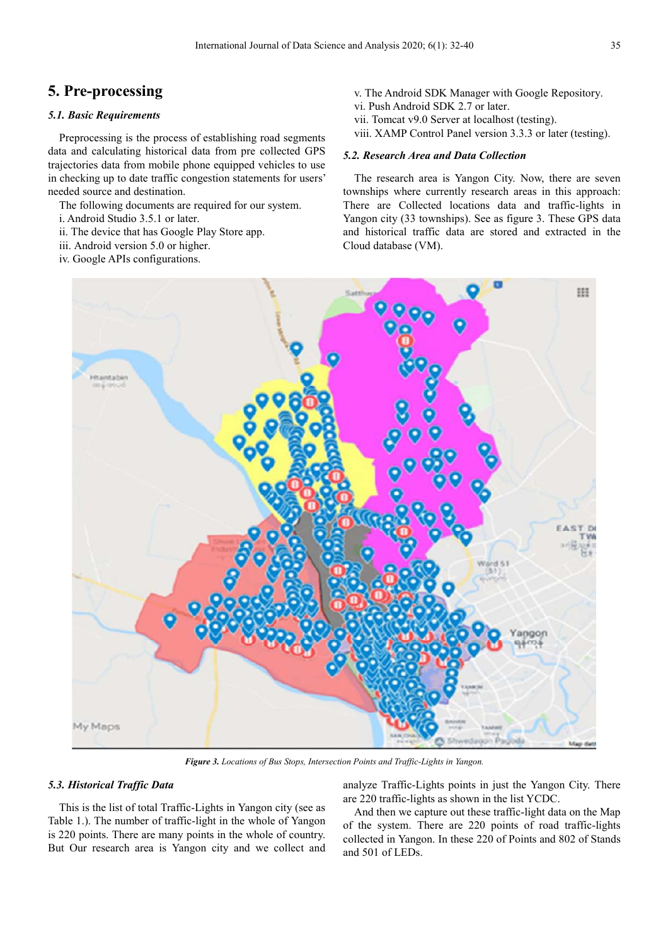# **5. Pre-processing**

#### *5.1. Basic Requirements*

Preprocessing is the process of establishing road segments data and calculating historical data from pre collected GPS trajectories data from mobile phone equipped vehicles to use in checking up to date traffic congestion statements for users' needed source and destination.

The following documents are required for our system.

- i. Android Studio 3.5.1 or later.
- ii. The device that has Google Play Store app.
- iii. Android version 5.0 or higher.
- iv. Google APIs configurations.
- v. The Android SDK Manager with Google Repository.
- vi. Push Android SDK 2.7 or later.
- vii. Tomcat v9.0 Server at localhost (testing).
- viii. XAMP Control Panel version 3.3.3 or later (testing).

#### *5.2. Research Area and Data Collection*

The research area is Yangon City. Now, there are seven townships where currently research areas in this approach: There are Collected locations data and traffic-lights in Yangon city (33 townships). See as figure 3. These GPS data and historical traffic data are stored and extracted in the Cloud database (VM).



*Figure 3. Locations of Bus Stops, Intersection Points and Traffic-Lights in Yangon.* 

#### *5.3. Historical Traffic Data*

This is the list of total Traffic-Lights in Yangon city (see as Table 1.). The number of traffic-light in the whole of Yangon is 220 points. There are many points in the whole of country. But Our research area is Yangon city and we collect and analyze Traffic-Lights points in just the Yangon City. There are 220 traffic-lights as shown in the list YCDC.

And then we capture out these traffic-light data on the Map of the system. There are 220 points of road traffic-lights collected in Yangon. In these 220 of Points and 802 of Stands and 501 of LEDs.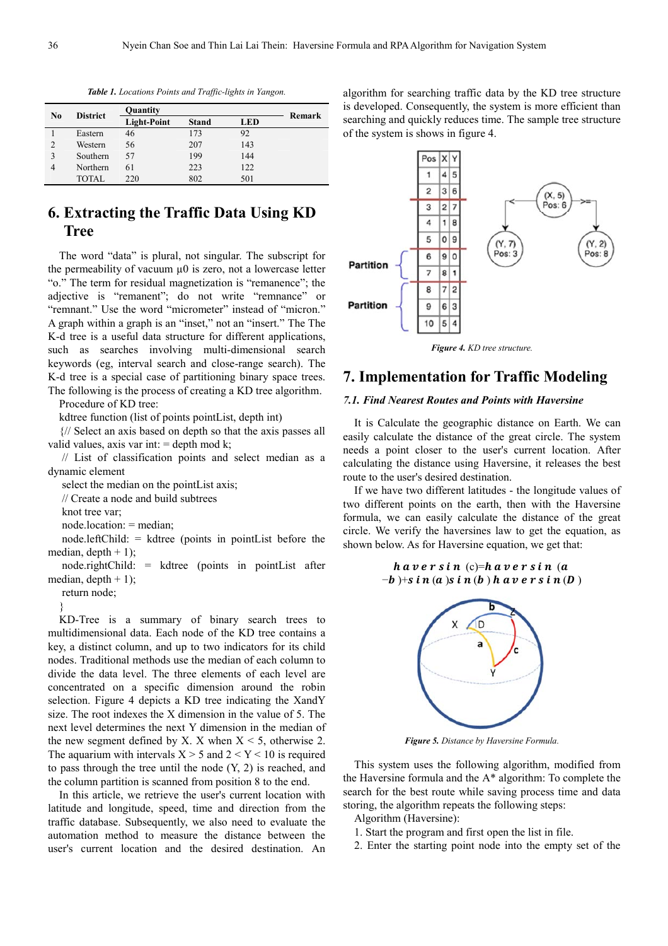| $\bf No$ | <b>District</b> | Quantity           |              |            | Remark |
|----------|-----------------|--------------------|--------------|------------|--------|
|          |                 | <b>Light-Point</b> | <b>Stand</b> | <b>LED</b> |        |
|          | Eastern         | 46                 | 173          | 92         |        |
|          | Western         | 56                 | 207          | 143        |        |
|          | Southern        | 57                 | 199          | 144        |        |
| 4        | Northern        | 61                 | 223          | 122        |        |
|          | TOTAL           | 220                | 802          | 501        |        |

*Table 1. Locations Points and Traffic-lights in Yangon.* 

# **6. Extracting the Traffic Data Using KD Tree**

The word "data" is plural, not singular. The subscript for the permeability of vacuum  $\mu$ 0 is zero, not a lowercase letter "o." The term for residual magnetization is "remanence"; the adjective is "remanent"; do not write "remnance" or "remnant." Use the word "micrometer" instead of "micron." A graph within a graph is an "inset," not an "insert." The The K-d tree is a useful data structure for different applications, such as searches involving multi-dimensional search keywords (eg, interval search and close-range search). The K-d tree is a special case of partitioning binary space trees. The following is the process of creating a KD tree algorithm.

Procedure of KD tree:

kdtree function (list of points pointList, depth int)

{// Select an axis based on depth so that the axis passes all valid values, axis var int:  $=$  depth mod k;

 // List of classification points and select median as a dynamic element

select the median on the pointList axis;

// Create a node and build subtrees

knot tree var;

node.location: = median;

 node.leftChild: = kdtree (points in pointList before the median, depth  $+ 1$ );

 node.rightChild: = kdtree (points in pointList after median, depth  $+1$ );

return node;

}

KD-Tree is a summary of binary search trees to multidimensional data. Each node of the KD tree contains a key, a distinct column, and up to two indicators for its child nodes. Traditional methods use the median of each column to divide the data level. The three elements of each level are concentrated on a specific dimension around the robin selection. Figure 4 depicts a KD tree indicating the XandY size. The root indexes the X dimension in the value of 5. The next level determines the next Y dimension in the median of the new segment defined by X. X when  $X \le 5$ , otherwise 2. The aquarium with intervals  $X > 5$  and  $2 < Y < 10$  is required to pass through the tree until the node (Y, 2) is reached, and the column partition is scanned from position 8 to the end.

In this article, we retrieve the user's current location with latitude and longitude, speed, time and direction from the traffic database. Subsequently, we also need to evaluate the automation method to measure the distance between the user's current location and the desired destination. An algorithm for searching traffic data by the KD tree structure is developed. Consequently, the system is more efficient than searching and quickly reduces time. The sample tree structure of the system is shows in figure 4.

![](_page_4_Figure_20.jpeg)

*Figure 4. KD tree structure.* 

# **7. Implementation for Traffic Modeling**

#### *7.1. Find Nearest Routes and Points with Haversine*

It is Calculate the geographic distance on Earth. We can easily calculate the distance of the great circle. The system needs a point closer to the user's current location. After calculating the distance using Haversine, it releases the best route to the user's desired destination.

If we have two different latitudes - the longitude values of two different points on the earth, then with the Haversine formula, we can easily calculate the distance of the great circle. We verify the haversines law to get the equation, as shown below. As for Haversine equation, we get that:

$$
h\ a\ v\ e\ r\ s\ i\ n\ (c)=h\ a\ v\ e\ r\ s\ i\ n\ (a
$$
  

$$
-b)+s\ i\ n\ (a)\ s\ i\ n\ (b)\ h\ a\ v\ e\ r\ s\ i\ n\ (D)
$$

![](_page_4_Figure_27.jpeg)

*Figure 5. Distance by Haversine Formula.* 

This system uses the following algorithm, modified from the Haversine formula and the A\* algorithm: To complete the search for the best route while saving process time and data storing, the algorithm repeats the following steps:

Algorithm (Haversine):

- 1. Start the program and first open the list in file.
- 2. Enter the starting point node into the empty set of the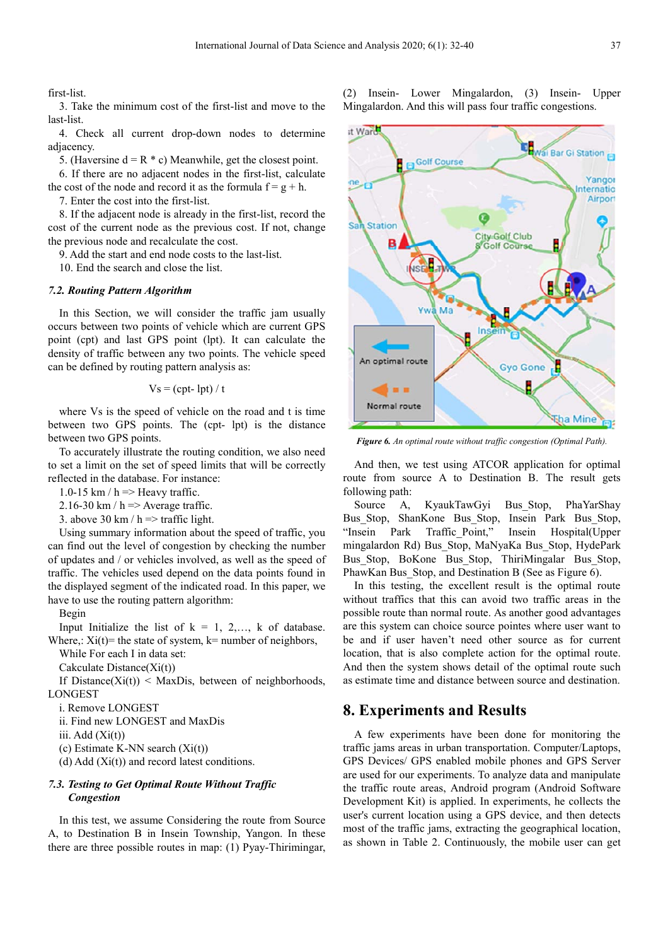first-list.

3. Take the minimum cost of the first-list and move to the last-list.

4. Check all current drop-down nodes to determine adjacency.

5. (Haversine  $d = R * c$ ) Meanwhile, get the closest point.

6. If there are no adjacent nodes in the first-list, calculate the cost of the node and record it as the formula  $f = g + h$ .

7. Enter the cost into the first-list.

8. If the adjacent node is already in the first-list, record the cost of the current node as the previous cost. If not, change the previous node and recalculate the cost.

9. Add the start and end node costs to the last-list.

10. End the search and close the list.

#### *7.2. Routing Pattern Algorithm*

In this Section, we will consider the traffic jam usually occurs between two points of vehicle which are current GPS point (cpt) and last GPS point (lpt). It can calculate the density of traffic between any two points. The vehicle speed can be defined by routing pattern analysis as:

$$
V_s = (cpt-lpt)/t
$$

where Vs is the speed of vehicle on the road and t is time between two GPS points. The (cpt- lpt) is the distance between two GPS points.

To accurately illustrate the routing condition, we also need to set a limit on the set of speed limits that will be correctly reflected in the database. For instance:

1.0-15 km /  $h \Rightarrow$  Heavy traffic.

2.16-30 km /  $h \approx$  Average traffic.

3. above 30 km /  $h \approx$  traffic light.

Using summary information about the speed of traffic, you can find out the level of congestion by checking the number of updates and / or vehicles involved, as well as the speed of traffic. The vehicles used depend on the data points found in the displayed segment of the indicated road. In this paper, we have to use the routing pattern algorithm:

Begin

Input Initialize the list of  $k = 1, 2, \ldots, k$  of database. Where,:  $Xi(t)$  = the state of system,  $k$  = number of neighbors,

While For each I in data set:

Cakculate Distance(Xi(t))

If Distance $(Xi(t))$  < MaxDis, between of neighborhoods, **LONGEST** 

i. Remove LONGEST

ii. Find new LONGEST and MaxDis

iii.  $Add(Xi(t))$ 

(c) Estimate K-NN search (Xi(t))

(d) Add (Xi(t)) and record latest conditions.

#### *7.3. Testing to Get Optimal Route Without Traffic Congestion*

In this test, we assume Considering the route from Source A, to Destination B in Insein Township, Yangon. In these there are three possible routes in map: (1) Pyay-Thirimingar, (2) Insein- Lower Mingalardon, (3) Insein- Upper Mingalardon. And this will pass four traffic congestions.

![](_page_5_Figure_32.jpeg)

*Figure 6. An optimal route without traffic congestion (Optimal Path).* 

And then, we test using ATCOR application for optimal route from source A to Destination B. The result gets following path:

Source A, KyaukTawGyi Bus\_Stop, PhaYarShay Bus Stop, ShanKone Bus Stop, Insein Park Bus Stop, "Insein Park Traffic\_Point," Insein Hospital(Upper mingalardon Rd) Bus\_Stop, MaNyaKa Bus\_Stop, HydePark Bus\_Stop, BoKone Bus\_Stop, ThiriMingalar Bus\_Stop, PhawKan Bus Stop, and Destination B (See as Figure 6).

In this testing, the excellent result is the optimal route without traffics that this can avoid two traffic areas in the possible route than normal route. As another good advantages are this system can choice source pointes where user want to be and if user haven't need other source as for current location, that is also complete action for the optimal route. And then the system shows detail of the optimal route such as estimate time and distance between source and destination.

### **8. Experiments and Results**

A few experiments have been done for monitoring the traffic jams areas in urban transportation. Computer/Laptops, GPS Devices/ GPS enabled mobile phones and GPS Server are used for our experiments. To analyze data and manipulate the traffic route areas, Android program (Android Software Development Kit) is applied. In experiments, he collects the user's current location using a GPS device, and then detects most of the traffic jams, extracting the geographical location, as shown in Table 2. Continuously, the mobile user can get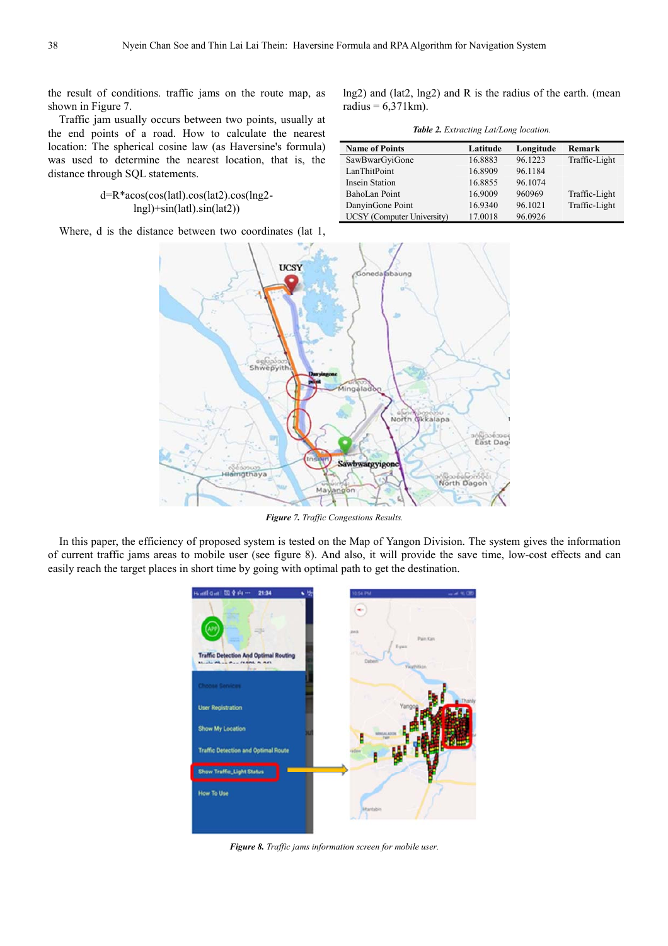the result of conditions. traffic jams on the route map, as shown in Figure 7.

Traffic jam usually occurs between two points, usually at the end points of a road. How to calculate the nearest location: The spherical cosine law (as Haversine's formula) was used to determine the nearest location, that is, the distance through SQL statements.

#### d=R\*acos(cos(latl).cos(lat2).cos(lng2 lngl)+sin(latl).sin(lat2))

Where, d is the distance between two coordinates (lat 1,

lng2) and (lat2, lng2) and R is the radius of the earth. (mean radius =  $6,371$  km).

*Table 2. Extracting Lat/Long location.* 

| <b>Name of Points</b>      | Latitude | Longitude | Remark        |
|----------------------------|----------|-----------|---------------|
| SawBwarGyiGone             | 16.8883  | 96.1223   | Traffic-Light |
| LanThitPoint               | 16.8909  | 96.1184   |               |
| <b>Insein Station</b>      | 16.8855  | 96.1074   |               |
| BahoLan Point              | 16.9009  | 960969    | Traffic-Light |
| DanyinGone Point           | 16.9340  | 96.1021   | Traffic-Light |
| UCSY (Computer University) | 17.0018  | 96.0926   |               |

![](_page_6_Figure_8.jpeg)

*Figure 7. Traffic Congestions Results.* 

In this paper, the efficiency of proposed system is tested on the Map of Yangon Division. The system gives the information of current traffic jams areas to mobile user (see figure 8). And also, it will provide the save time, low-cost effects and can easily reach the target places in short time by going with optimal path to get the destination.

![](_page_6_Picture_11.jpeg)

*Figure 8. Traffic jams information screen for mobile user.*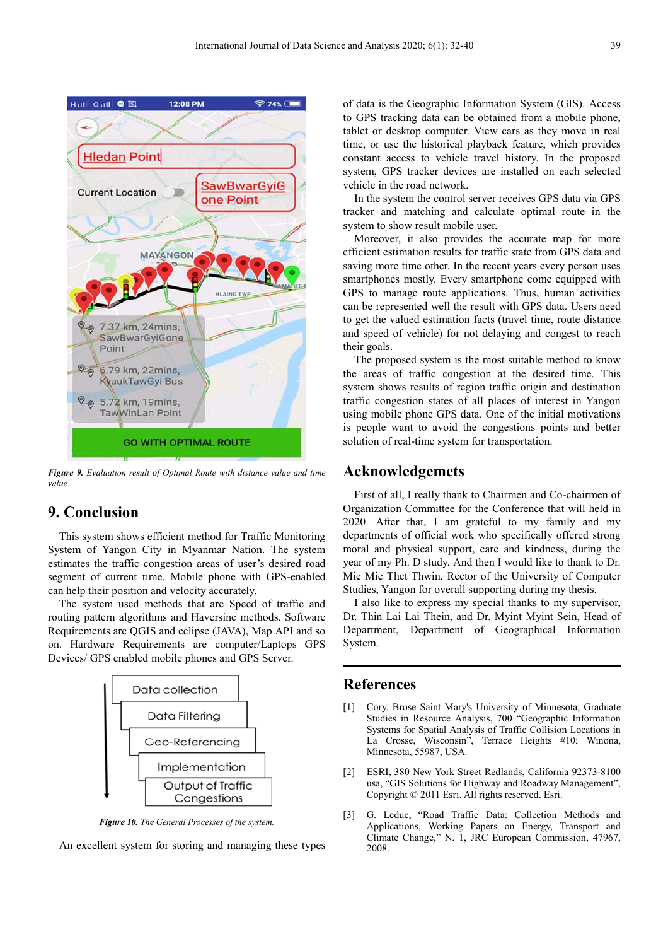![](_page_7_Figure_1.jpeg)

*Figure 9. Evaluation result of Optimal Route with distance value and time value.* 

# **9. Conclusion**

This system shows efficient method for Traffic Monitoring System of Yangon City in Myanmar Nation. The system estimates the traffic congestion areas of user's desired road segment of current time. Mobile phone with GPS-enabled can help their position and velocity accurately.

The system used methods that are Speed of traffic and routing pattern algorithms and Haversine methods. Software Requirements are QGIS and eclipse (JAVA), Map API and so on. Hardware Requirements are computer/Laptops GPS Devices/ GPS enabled mobile phones and GPS Server.

![](_page_7_Figure_6.jpeg)

*Figure 10. The General Processes of the system.* 

An excellent system for storing and managing these types

of data is the Geographic Information System (GIS). Access to GPS tracking data can be obtained from a mobile phone, tablet or desktop computer. View cars as they move in real time, or use the historical playback feature, which provides constant access to vehicle travel history. In the proposed system, GPS tracker devices are installed on each selected vehicle in the road network.

In the system the control server receives GPS data via GPS tracker and matching and calculate optimal route in the system to show result mobile user.

Moreover, it also provides the accurate map for more efficient estimation results for traffic state from GPS data and saving more time other. In the recent years every person uses smartphones mostly. Every smartphone come equipped with GPS to manage route applications. Thus, human activities can be represented well the result with GPS data. Users need to get the valued estimation facts (travel time, route distance and speed of vehicle) for not delaying and congest to reach their goals.

The proposed system is the most suitable method to know the areas of traffic congestion at the desired time. This system shows results of region traffic origin and destination traffic congestion states of all places of interest in Yangon using mobile phone GPS data. One of the initial motivations is people want to avoid the congestions points and better solution of real-time system for transportation.

## **Acknowledgemets**

First of all, I really thank to Chairmen and Co-chairmen of Organization Committee for the Conference that will held in 2020. After that, I am grateful to my family and my departments of official work who specifically offered strong moral and physical support, care and kindness, during the year of my Ph. D study. And then I would like to thank to Dr. Mie Mie Thet Thwin, Rector of the University of Computer Studies, Yangon for overall supporting during my thesis.

I also like to express my special thanks to my supervisor, Dr. Thin Lai Lai Thein, and Dr. Myint Myint Sein, Head of Department, Department of Geographical Information System.

# **References**

- [1] Cory. Brose Saint Mary's University of Minnesota, Graduate Studies in Resource Analysis, 700 "Geographic Information Systems for Spatial Analysis of Traffic Collision Locations in La Crosse, Wisconsin", Terrace Heights #10; Winona, Minnesota, 55987, USA.
- [2] ESRI, 380 New York Street Redlands, California 92373-8100 usa, "GIS Solutions for Highway and Roadway Management", Copyright © 2011 Esri. All rights reserved. Esri.
- [3] G. Leduc, "Road Traffic Data: Collection Methods and Applications, Working Papers on Energy, Transport and Climate Change," N. 1, JRC European Commission, 47967, 2008.